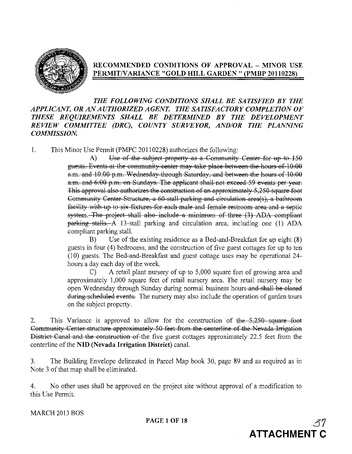

## RECOMMENDED CONDITIONS OF APPROVAL - MINOR USE PERMITNARIANCE "GOLD HILL GARDEN" (PMBP 20110228)

*THE FOLLOWING CONDITIONS SHALL BE SATISFIED BY THE APPLICANT, OR ANAUTHORIZED AGENT. THE SATISFACTORY COMPLETION OF THESE REQUIREMENTS SHALL BE DETERMINED BY THE DEVELOPMENT REVIEW COMMITTEE (DRC), COUNTY SURVEYOR, AND/OR THE PLANNING COMMISSION.*

1. This Minor Use Permit (PMPC 20110228) authorizes the following:

A) Use of the subject property as a Community Center for up to 150 guests. Events at the community center may take place between the hours of 10:00 a.m. and 10:00 p.m. Wednesday through Saturday, and between the hours of 10:00 a.m. and 6:00 p.m. on Sundays. The applicant shall not exceed 59 events per year. This approval also authorizes the construction of an approximately 5,250 square foot Gommunity Center Structure, a 60-stall parking and circulation area(s), a bathroom facility with up to six fixtures for each male and female restroom area and a septic system. The project shall also include a minimum of three (3) ADA compliant  $parking$  stalls. A 13-stall parking and circulation area, including one (1) ADA compliant parking stall.

B) Use of the existing residence as a Bed-and-Breakfast for up eight (8) guests in four (4) bedrooms, and the construction of five guest cottages for up to ten (10) guests. The Bed-and-Breakfast and guest cottage uses may be operational 24 hours a day each day of the week.

C) A retail plant nursery of up to 5,000 square feet of growing area and approximately 1,000 square feet of retail nursery area. The retail nursery may be open Wednesday through Sunday during normal business hours and shall be closed during scheduled events. The nursery may also include the operation of garden tours on the subject property.

2. This Variance is approved to allow for the construction of the 5,250 square foot Gommunity Center structure approximately 50 feet from the centerline of the Nevada Irrigation District Canal and the construction of the five guest cottages approximately 22.5 feet from the centerline of the NID (Nevada Irrigation District) canal.

3. The Building Envelope delineated in Parcel Map book 30, page 89 and as required as in Note 3 of that map shall be eliminated.

4. No other uses shall be approved on the project site without approval of a modification to this Use Permit.

MARCH 2013 BOS

**PAGE 1 OF 18** 

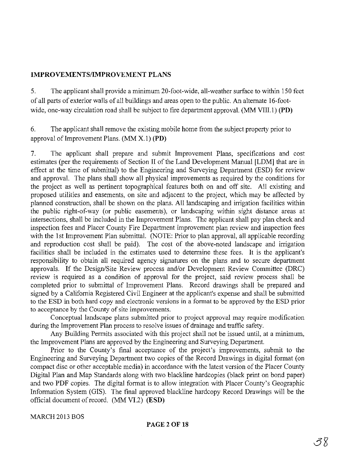### IMPROVEMENTSIIMPROVEMENT PLANS

5. The applicant shall provide a minimum 20-foot-wide, all-weather surface to within 150 feet of all parts of exterior walls of all buildings and areas open to the public. An alternate 16-footwide, one-way circulation road shall be subject to fire department approval. (MM VIII.1) (PD)

6. The applicant shall remove the existing mobile home from the subject property prior to approval of Improvement Plans.  $(MM X.1) (PD)$ 

7. The applicant shall prepare and submit Improvement Plans, specifications and cost estimates (per the requirements of Section II of the Land Development Manual [LDM] that are in effect at the time of submittal) to the Engineering and Surveying Department (ESD) for review and approval. The plans shall show all physical improvements as required by the conditions for the project as well as pertinent topographical features both on and off site. All existing and proposed utilities and easements, on site and adjacent to the project, which may be affected by planned construction, shall be shown on the plans. All landscaping and irrigation facilities within the public right-of-way (or public easements), or landscaping within sight distance areas at intersections, shall be included in the Improvement Plans. The applicant shall pay plan check and inspection fees and Placer County Fire Department improvement plan review and inspection fees with the 1st Improvement Plan submittal. (NOTE: Prior to plan approval, all applicable recording and reproduction cost shall be paid). The cost of the above-noted landscape and irrigation facilities shall be included in the estimates used to determine these fees. It is the applicant's responsibility to obtain all required agency signatures on the plans and to secure department approvals. If the Design/Site Review process and/or Development Review Committee (DRC) review is required as a condition of approval for the project, said review process shall be completed prior to submittal of Improvement Plans. Record drawings shall be prepared and signed by a California Registered Civil Engineer at the applicant's expense and shall be submitted to the ESD in both hard copy and electronic versions in a format to be approved by the ESD prior to acceptance by the County of site improvements.

Conceptual landscape plans submitted prior to project approval may require modification during the Improvement Plan process to resolve issues of drainage and traffic safety.

Any Building Permits associated with this project shall not be issued until, at a minimum, the Improvement Plans are approved by the Engineering and Surveying Department.

Prior to the County's final acceptance of the project's improvements, submit to the Engineering and Surveying Department two copies of the Record Drawings in digital format (on compact disc or other acceptable media) in accordance with the latest version of the Placer County Digital Plan and Map Standards along with two blackline hardcopies (black print on bond paper) and two PDF copies. The digital format is to allow integration with Placer County's Geographic Information System (GIS). The final approved blackline hardcopy Record Drawings will be the official document ofrecord. (MM VI.2) (ESD)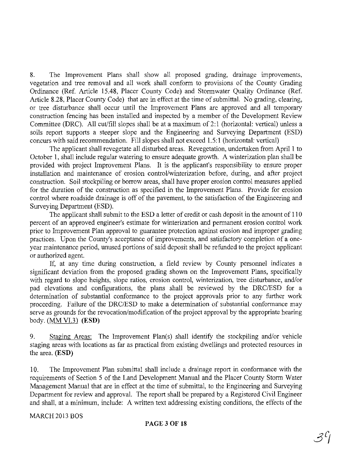8. The Improvement Plans shall show all proposed grading, drainage improvements, vegetation and tree removal and all work shall conform to provisions of the County Grading Ordinance (Ref. Article 15.48, Placer County Code) and Stormwater Quality Ordinance (Ref. Article 8.28, Placer County Code) that are in effect at the time of submittal. No grading, clearing, or tree disturbance shall occur until the Improvement Plans are approved and all temporary construction fencing has been installed and inspected by a member of the Development Review Committee (DRC). All cut/fill slopes shall be at a maximum of 2:1 (horizontal: vertical) unless a soils report supports a steeper slope and the Engineering and Surveying Department (ESD) concurs with said recommendation. Fill slopes shall not exceed 1.5: 1 (horizontal: vertical)

The applicant shall revegetate all disturbed areas. Revegetation, undertaken from April 1 to October 1, shall include regular watering to ensure adequate growth. A winterization plan shall be provided with project Improvement Plans. It is the applicant's responsibility to ensure proper installation and maintenance of erosion control/winterization before, during, and after project construction. Soil stockpiling or borrow areas, shall have proper erosion control measures applied for the duration of the construction as specified in the Improvement Plans. Provide for erosion control where roadside drainage is off of the pavement, to the satisfaction of the Engineering and Surveying Department (ESD).

The applicant shall submit to the ESD a letter of credit or cash deposit in the amount of **110** percent of an approved engineer's estimate for winterization and permanent erosion control work prior to Improvement Plan approval to guarantee protection against erosion and improper grading practices. Upon the County's acceptance of improvements, and satisfactory completion of a oneyear maintenance period, unused portions of said deposit shall be refunded to the project applicant or authorized agent.

If, at any time during construction, a field review by County personnel indicates a significant deviation from the proposed grading shown on the Improvement Plans, specifically with regard to slope heights, slope ratios, erosion control, winterization, tree disturbance, and/or pad elevations and configurations, the plans shall be reviewed by the DRCIESD for a determination of substantial conformance to the project approvals prior to any further work proceeding. Failure of the DRC/ESD to make a determination of substantial conformance may serve as grounds for the revocation/modification of the project approval by the appropriate hearing body. (MM VI.3) **(ESD)** 

9. Staging Areas: The Improvement Plan(s) shall identify the stockpiling and/or vehicle staging areas with locations as far as practical from existing dwellings and protected resources in the area. **(ESD)**

10. The Improvement Plan submittal shall include a drainage report in conformance with the requirements of Section 5 of the Land Development Manual and the Placer County Storm Water Management Manual that are in effect at the time of submittal, to the Engineering and Surveying Department for review and approval. The report shall be prepared by a Registered Civil Engineer and shall, at a minimum, include: A written text addressing existing conditions, the effects of the

MARCH 2013 BOS

PAGE 3 **OF 18**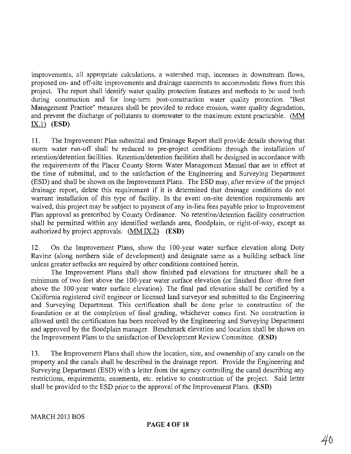improvements, all appropriate calculations, a watershed map, increases in downstream flows, proposed on- and off-site improvements and drainage easements to accommodate flows from this project. The report shall identify water quality protection features and methods to be used both during construction and for long-term post-construction water quality protection. "Best Management Practice" measures shall be provided to reduce erosion, water quality degradation, and prevent the discharge of pollutants to stormwater to the maximum extent practicable. (MM IX.!) **(ESD)**

11. The Improvement Plan submittal and Drainage Report shall provide details showing that storm water run-off shall be reduced to pre-project conditions through the installation of retention/detention facilities. Retention/detention facilities shall be designed in accordance with the requirements of the Placer County Storm Water Management Manual that are in effect at the time of submittal, and to the satisfaction of the Engineering and Surveying Department (ESD) and shall be shown on the Improvement Plans. The ESD may, after review of the project drainage report, delete this requirement if it is determined that drainage conditions do not warrant installation of this type of facility. In the event on-site detention requirements are waived, this project may be subject to payment of any in-lieu fees payable prior to Improvement Plan approval as prescribed by County Ordinance. No retention/detention facility construction shall be permitted within any identified wetlands area, floodplain, or right-of-way, except as authorized by project approvals. (MM IX.2) **(ESD)**

12. On the Improvement Plans, show the 100-year water surface elevation along Doty Ravine (along northern side of development) and designate same as a building setback line unless greater setbacks are required by other conditions contained herein.

The Improvement Plans shall show finished pad elevations for structures shall be a minimum of two feet above the 100-year water surface elevation (or finished floor -three feet above the 100-year water surface elevation). The final pad elevation shall be certified by a California registered civil engineer or licensed land surveyor and submitted to the Engineering and Surveying Department. This certification shall be done prior to construction of the foundation or at the completion of final grading, whichever comes first. No construction is allowed until the certification has been received by the Engineering and Surveying Department and approved by the floodplain manager. Benchmark elevation and location shall be shown on the Improvement Plans to the satisfaction of Development Review Committee. **(ESD)**

13. The Improvement Plans shall show the location, size, and ownership of any canals on the property and the canals shall be described in the drainage report. Provide the Engineering and Surveying Department (ESD) with a letter from the agency controlling the canal describing any restrictions, requirements, easements, etc. relative to construction of the project. Said letter shall be provided to the ESD prior to the approval of the Improvement Plans. **(ESD)**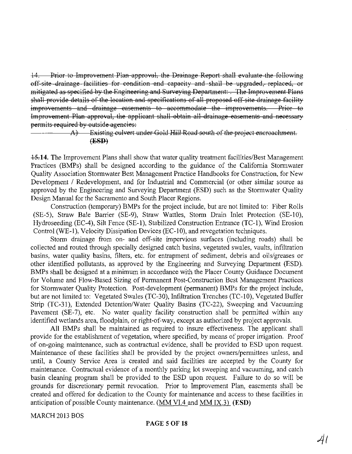14. Prior to Improvement Plan approval, the Drainage Report shall evaluate the following off-site drainage facilities for condition and capacity and shall be upgraded, replaced, or mitigated as specified by the Engineering and Surveying Department:. The Improvement Plans shall provide details of the location and specifications of all proposed off site drainage facility improvements and drainage easements to accommodate the improvements. Prior to Improvement Plan approval, the applicant shall obtain all drainage easements and necessary permits required by outside ageneies:

### A) Existing eulvert under Gold Hill Road south of the project encroachment. (ESD)

**15.14.** The Improvement Plans shall show that water quality treatment facilities/Best Management Practices (BMPs) shall be designed according to the guidance of the California Stormwater Quality Association Stormwater Best Management Practice Handbooks for Construction, for New Development / Redevelopment, and for Industrial and Commercial (or other similar source as approved by the Engineering and Surveying Department (ESD) such as the Stormwater Quality Design Manual for the Sacramento and South Placer Regions.

Construction (temporary) BMPs for the project include, but are not limited to: Fiber Rolls (SE-5), Straw Bale Barrier (SE-9), Straw Wattles, Storm Drain Inlet Protection (SE-lO), Hydroseeding (EC-4), Silt Fence (SE-l), Stabilized Construction Entrance (TC-l), Wind Erosion Control (WE-I), Velocity Dissipation Devices (EC-IO), and revegetation techniques.

Storm drainage from on- and off-site impervious surfaces (including roads) shall be collected and routed through specially designed catch basins, vegetated swales, vaults, infiltration basins, water quality basins, filters, etc. for entrapment of sediment, debris and oils/greases or other identified pollutants, as approved by the Engineering and Surveying Department (ESD). BMPs shall be designed at a minimum in accordance with the Placer County Guidance Document for Volume and Flow-Based Sizing of Permanent Post-Construction Best Management Practices for Stormwater Quality Protection. Post-development (permanent) BMPs for the project include, but are not limited to: Vegetated Swales (TC-30), Infiltration Trenches (TC-IO), Vegetated Buffer Strip (TC-31), Extended Detention/Water Quality Basins (TC-22), Sweeping and Vacuuming Pavement (SE-7), etc. No water quality facility construction shall be permitted within any identified wetlands area, floodplain, or right-of-way, except as authorized by project approvals.

All BMPs shall be maintained as required to insure effectiveness. The applicant shall provide for the establishment of vegetation, where specified, by means of proper irrigation. Proof of on-going maintenance, such as contractual evidence, shall be provided to ESD upon request. Maintenance of these facilities shall be provided by the project owners/permittees unless, and until, a County Service Area is created and said facilities are accepted by the County for maintenance. Contractual evidence of a monthly parking lot sweeping and vacuuming, and catch basin cleaning program shall be provided to the ESD upon request. Failure to do so will be grounds for discretionary permit revocation. Prior to Improvement Plan, easements shall be created and offered for dedication to the County for maintenance and access to these facilities in anticipation of possible County maintenance. (MM VIA and MM IX.3) (ESD)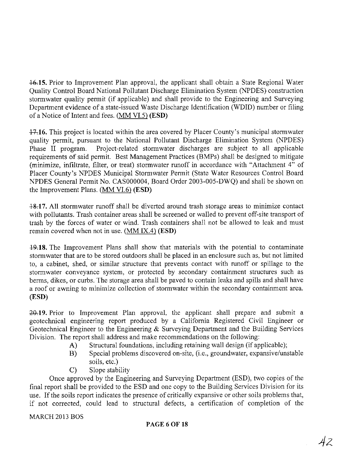\*15. Prior to Improvement Plan approval, the applicant shall obtain a State Regional Water Quality Control Board National Pollutant Discharge Elimination System (NPDES) construction stormwater quality permit (if applicable) and shall provide to the Engineering and Surveying Department evidence of a state-issued Waste Discharge Identification (WDID) number or filing of a Notice of Intent and fees. (MM VI.5) (ESD)

 $+7.16$ . This project is located within the area covered by Placer County's municipal stormwater quality permit, pursuant to the National Pollutant Discharge Elimination System (NPDES) Phase II program. Project-related stormwater discharges are subject to all applicable requirements of said permit. Best Management Practices (BMPs) shall be designed to mitigate (minimize, infiltrate, filter, or treat) stormwater runoff in accordance with "Attachment 4" of Placer County's NPDES Municipal Stormwater Permit (State Water Resources Control Board NPDES General Permit No. CAS000004, Board Order 2003-005-DWQ) and shall be shown on the Improvement Plans. (MM VI.6) (ESD)

+&17. All stormwater runoff shall be diverted around trash storage areas to minimize contact with pollutants. Trash container areas shall be screened or walled to prevent off-site transport of trash by the forces of water or wind. Trash containers shall not be allowed to leak and must remain covered when not in use. (MM IX.4) (ESD)

**19.18.** The Improvement Plans shall show that materials with the potential to contaminate stormwater that are to be stored outdoors shall be placed in an enclosure such as, but not limited to, a cabinet, shed, or similar structure that prevents contact with runoff or spillage to the stormwater conveyance system, or protected by secondary containment structures such as berms, dikes, or curbs. The storage area shall be paved to contain leaks and spills and shall have a roof or awning to minimize collection of stormwater within the secondary containment area. (ESD)

 $20.19$ . Prior to Improvement Plan approval, the applicant shall prepare and submit a geotechnical engineering report produced by a California Registered Civil Engineer or Geotechnical Engineer to the Engineering & Surveying Department and the Building Services Division. The report shall address and make recommendations on the following:

- A) Structural foundations, including retaining wall design (if applicable);
- B) Special problems discovered on-site, (i.e., groundwater, expansive/unstable soils, etc.)
- C) Slope stability

Once approved by the Engineering and Surveying Department (ESD), two copies of the final report shall be provided to the ESD and one copy to the Building Services Division for its use. If the soils report indicates the presence of critically expansive or other soils problems that, if not corrected, could lead to structural defects, a certification of completion of the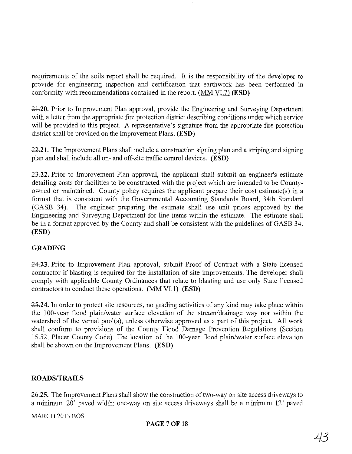requirements of the soils report shall be required. It is the responsibility of the developer to provide for engineering inspection and certification that earthwork has been performed in conformity with recommendations contained in the report. (MM VL7) (ESD)

21.20. Prior to Improvement Plan approval, provide the Engineering and Surveying Department with a letter from the appropriate fire protection district describing conditions under which service will be provided to this project. A representative's signature from the appropriate fire protection district shall be provided on the Improvement Plans. (ESD)

~21. The Improvement Plans shall include a construction signing plan and a striping and signing plan and shall include all on- and off-site traffic control devices. (ESD)

~22. Prior to Improvement Plan approval, the applicant shall submit an engineer's estimate detailing costs for facilities to be constructed with the project which are intended to be Countyowned or maintained. County policy requires the applicant prepare their cost estimate(s) in a format that is consistent with the Governmental Accounting Standards Board, 34th Standard (GASB 34). The engineer preparing the estimate shall use unit prices approved by the Engineering and Surveying Department for line items within the estimate. The estimate shall be in a format approved by the County and shall be consistent with the guidelines of GASB 34. (ESD)

## GRADING

24.23. Prior to Improvement Plan approval, submit Proof of Contract with a State licensed contractor if blasting is required for the installation of site improvements. The developer shall comply with applicable County Ordinances that relate to blasting and use only State licensed contractors to conduct these operations. (MM VLI) (ESD)

 $-25.24$ . In order to protect site resources, no grading activities of any kind may take place within the 100-year flood plain/water surface elevation of the stream/drainage way nor within the watershed of the vernal pool(s), unless otherwise approved as a part of this project. All work shall conform to provisions of the County Flood Damage Prevention Regulations (Section 15.52, Placer County Code). The location of the 100-year flood plain/water surface elevation shall be shown on the Improvement Plans. (ESD)

## ROADS/TRAILS

**26.25.** The Improvement Plans shall show the construction of two-way on site access driveways to a minimum 20' paved width; one-way on site access driveways shall be a minimum 12' paved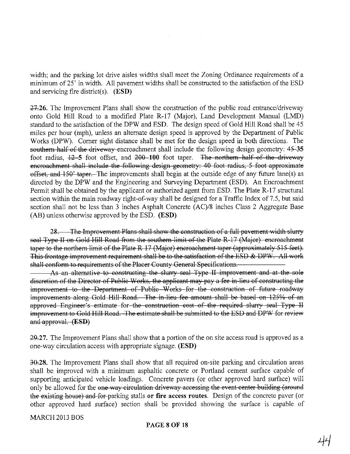width; and the parking lot drive aisles widths shall meet the Zoning Ordinance requirements of a minimum of 25' in width. All pavement widths shall be constructed to the satisfaction of the ESD and servicing fire district(s). (ESD)

27.26. The Improvement Plans shall show the construction of the public road entrance/driveway onto Gold Hill Road to a modified Plate R-17 (Major), Land Development Manual (LMD) standard to the satisfaction of the DPW and ESD. The design speed of Gold Hill Road shall be 45 miles per hour (mph), unless an alternate design speed is approved by the Department of Public Works (DPW). Corner sight distance shall be met for the design speed in both directions. The southern half of the driveway encroachment shall include the following design geometry: 45-35 foot radius,  $12-5$  foot offset, and  $200-100$  foot taper. The northern half of the driveway encroachment shall include the following design geometry: 40 foot radius, 5 foot approximate  $\theta$ ffset, and 150' taper. The improvements shall begin at the outside edge of any future lane(s) as directed by the DPW and the Engineering and Surveying Department (ESD). An Encroachment Permit shall be obtained by the applicant or authorized agent from ESD. The Plate R-17 structural section within the main roadway right-of-way shall be designed for a Traffic Index of 7.5, but said section shall not be less than 3 inches Asphalt Concrete (AC)/8 inches Class 2 Aggregate Base (AB) unless otherwise approved by the ESD. (ESD)

28. The Improvement Plans shall show the construction of a full pavement width slurry seal Type II on Gold Hill Road from the southern limit of the Plate R-17 (Major) encroachment taper to the northern limit of the Plate R  $17$  (Major) encroachment taper (approximately 515 feet). This frontage improvement requirement shall be to the satisfaction of the ESD & *DPW.* All work shall conform to requirements of the Placer County General Specifications.

As an alternative to constructing the slurry seal Type II improvement and at the sole discretion of the Director of Public Works, the applicant may pay a fee in-lieu of constructing the improvement to the Department of Public Works for the construction of future roadway improvements along Gold Hill Road. The in-lieu fee amount shall be based on 125% of an approved Engineer's estimate for the construction cost of the required slurry seal Type II improvement to Gold Hill Road. The estimate shall be submitted to the ESD and DPW for review and approval. (ESD)

29.27. The Improvement Plans shall show that a portion of the on site access road is approved as a one-way circulation access with appropriate signage. (ESD)

30.28. The Improvement Plans shall show that all required on-site parking and circulation areas shall be improved with a minimum asphaltic concrete or Portland cement surface capable of supporting anticipated vehicle loadings. Concrete pavers (or other approved hard surface) will only be allowed for the one way circulation driveway accessing the event center building (around the existing house) and for parking stalls or fire access routes. Design of the concrete paver (or other approved hard surface) section shall be provided showing the surface is capable of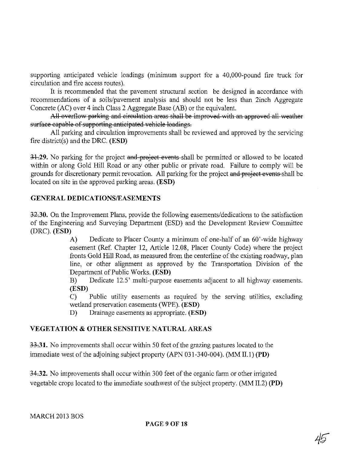supporting anticipated vehicle loadings (minimum support for a 40,000-pound fire truck for circulation and fire access routes).

It is recommended that the pavement structural section be designed in accordance with recommendations of a soils/pavement analysis and should not be less than 2inch Aggregate Concrete (AC) over 4 inch Class 2 Aggregate Base (AB) or the equivalent.

All overflow parking and circulation areas shall be improved with an approved all weather surface capable of supporting anticipated vehicle loadings.

All parking and circulation improvements shall be reviewed and approved by the servicing fire district(s) and the DRC. (ESD)

31.29. No parking for the project and project events shall be permitted or allowed to be located within or along Gold Hill Road or any other public or private road. Failure to comply will be grounds for discretionary permit revocation. All parking for the project and project events shall be located on site in the approved parking areas. (ESD)

## GENERAL DEDICATIONSIEASEMENTS

32.30. On the Improvement Plans, provide the following easements/dedications to the satisfaction of the Engineering and Surveying Department (ESD) and the Development Review Committee (DRC). (ESD)

> A) Dedicate to Placer County a minimum of one-half of an 60'-wide highway easement (Ref. Chapter 12, Article 12.08, Placer County Code) where the project fronts Gold Hill Road, as measured from the centerline of the existing roadway, plan line, or other alignment as approved by the Transportation Division of the Department of Public Works. (ESD)

> B) Dedicate 12.5' multi-purpose easements adjacent to all highway easements. (ESD)

> C) Public utility easements as required by the serving utilities, excluding wetland preservation easements (WPE). (ESD)

D) Drainage easements as appropriate. (ESD)

# VEGETATION & OTHER SENSITIVE NATURAL AREAS

33.31. No improvements shall occur within 50 feet of the grazing pastures located to the immediate west of the adjoining subject property (APN 031-340-004). (MM II.1) (PD)

**34.32.** No improvements shall occur within 300 feet of the organic farm or other irrigated vegetable crops located to the immediate southwest of the subject property.  $(MM II.2) (PD)$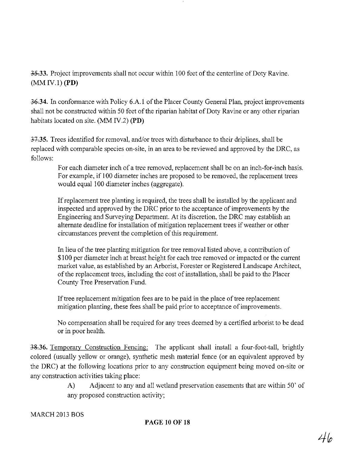35.33. Project improvements shall not occur within 100 feet of the centerline of Doty Ravine.  $(MM IV.1) (PD)$ 

36.34. In conformance with Policy 6.A.1 of the Placer County General Plan, project improvements shall not be constructed within 50 feet of the riparian habitat of Doty Ravine or any other riparian habitats located on site. (MM IV.2) **(PD)**

 $\frac{37.35}{7}$ . Trees identified for removal, and/or trees with disturbance to their driplines, shall be replaced with comparable species on-site, in an area to be reviewed and approved by the DRC, as follows:

For each diameter inch of a tree removed, replacement shall be on an inch-for-inch basis. For example, if 100 diameter inches are proposed to be removed, the replacement trees would equal 100 diameter inches (aggregate).

If replacement tree planting is required, the trees shall be installed by the applicant and inspected and approved by the DRC prior to the acceptance of improvements by the Engineering and Surveying Department. At its discretion, the DRC may establish an alternate deadline for installation of mitigation replacement trees if weather or other circumstances prevent the completion of this requirement.

In lieu of the tree planting mitigation for tree removal listed above, a contribution of \$100 per diameter inch at breast height for each tree removed or impacted or the current market value, as established by an Arborist, Forester or Registered Landscape Architect, of the replacement trees, including the cost of installation, shall be paid to the Placer County Tree Preservation Fund.

If tree replacement mitigation fees are to be paid in the place of tree replacement mitigation planting, these fees shall be paid prior to acceptance of improvements.

No compensation shall be required for any trees deemed by a certified arborist to be dead or in poor health.

38.36. Temporary Construction Fencing: The applicant shall install a four-foot-tall, brightly colored (usually yellow or orange), synthetic mesh material fence (or an equivalent approved by the DRC) at the following locations prior to any construction equipment being moved on-site or any construction activities taking place:

> A) Adjacent to any and all wetland preservation easements that are within 50' of any proposed construction activity;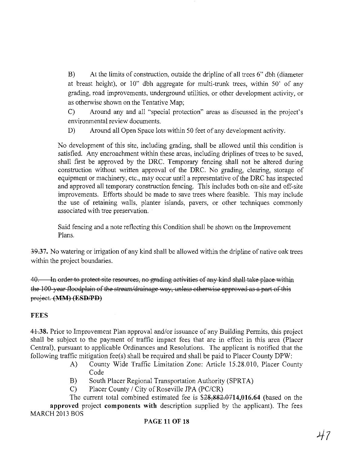B) At the limits of construction, outside the dripline of all trees 6" dbh (diameter at breast height), or 10" dbh aggregate for multi-trunk trees, within 50' of any grading, road improvements, underground utilities, or other development activity, or as otherwise shown on the Tentative Map;

C) Around any and all "special protection" areas as discussed in the project's environmental review documents.

D) Around all Open Space lots within 50 feet of any development activity.

No development of this site, including grading, shall be allowed until this condition is satisfied. Any encroachment within these areas, including driplines of trees to be saved, shall first be approved by the DRC. Temporary fencing shall not be altered during construction without written approval of the DRC. No grading, clearing, storage of equipment or machinery, etc., may occur until a representative of the DRC has inspected and approved all temporary construction fencing. This includes both on-site and off-site improvements. Efforts should be made to save trees where feasible. This may include the use of retaining walls, planter islands, pavers, or other techniques commonly associated with tree preservation.

Said fencing and a note reflecting this Condition shall be shown on the Improvement Plans.

39.37. No watering or irrigation of any kind shall be allowed within the dripline of native oak trees within the project boundaries.

40. In order to protect site resources, no grading activities of any kind shall take place within the 100-year floodplain of the stream/drainage way, unless otherwise approved as a part of this project. (MM) (ESD/PD)

### **FEES**

44.38. Prior to Improvement Plan approval and/or issuance of any Building Permits, this project shall be subject to the payment of traffic impact fees that are in effect in this area (Placer Central), pursuant to applicable Ordinances and Resolutions. The applicant is notified that the following traffic mitigation fee(s) shall be required and shall be paid to Placer County DPW:

- A) County Wide Traffic Limitation Zone: Article 15.28.010, Placer County Code
- B) South Placer Regional Transportation Authority (SPRTA)
- C) Placer County / City of Roseville JPA (PC/CR)

The current total combined estimated fee is \$28,882.0714,016.64 (based on the approved project components with description supplied by the applicant). The fees MARCH 2013 BOS

## PAGE 11 OF 18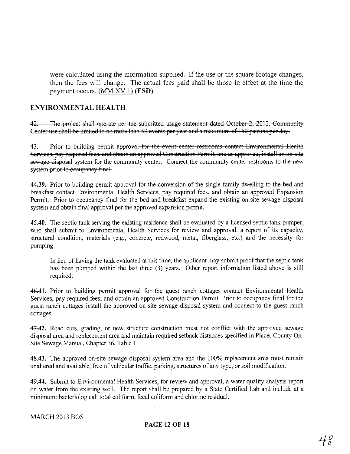were calculated using the information supplied. If the use or the square footage changes, then the fees will change. The actual fees paid shall be those in effect at the time the payment occurs. (MM XV.!) **(ESD)**

### **ENVIRONMENTAL HEALTH**

42. The project shall operate per the submitted usage statement dated October 2, 2012. Community Center use shall be limited to no more than 59 events per year and a maximum of 150 patrons per day.

43. Prior to building permit approval for the event center restrooms contact Environmental Health Services, pay required fees, and obtain an approved Construction Permit, and as approved, install an on site sewage disposal system for the community center. Connect the community center restrooms to the new system prior to occupancy final.

44.39. Prior to building permit approval for the conversion of the single family dwelling to the bed and breakfast contact Environmental Health Services, pay required fees, and obtain an approved Expansion Permit. Prior to occupancy final for the bed and breakfast expand the existing on-site sewage disposal system and obtain final approval per the approved expansion permit.

45.40. The septic tank serving the existing residence shall be evaluated by a licensed septic tank pumper, who shall submit to Environmental Health Services for review and approval, a report of its capacity, structural condition, materials (e,g., concrete, redwood, metal, fiberglass, etc.) and the necessity for pumping.

In lieu of having the tank evaluated at this time, the applicant may submit proofthat the septic tank has been pumped within the last three (3) years. Other report information listed above is still required.

**46-041.** Prior to building permit approval for the guest ranch cottages contact Environmental Health Services, pay required fees, and obtain an approved Construction Permit. Prior to occupancy final for the guest ranch cottages install the approved on-site sewage disposal system and connect to the guest ranch cottages.

47.42. Road cuts, grading, or new structure construction must not conflict with the approved sewage disposal area and replacement area and maintain required setback distances specified in Placer County On-Site Sewage Manual, Chapter 36, Table 1.

48.43. The approved on-site sewage disposal system area and the 100% replacement area must remain unaltered and available, free of vehicular traffic, parking, structures of any type, or soil modification.

*49A4.* Submit to Environmental Health Services, for review and approval, a water quality analysis report on water from the existing well. The report shall be prepared by a State Certified Lab and include at a minimum: bacteriological: total coliform, fecal coliform and chlorine residual.

#### MARCH 2013 BOS

#### **PAGE 12 OF 18**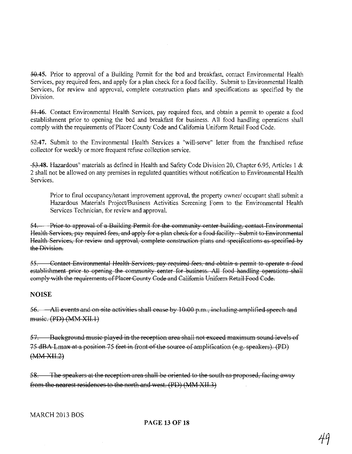~5. Prior to approval of a Building Pennit for the bed and breakfast, contact Environmental Health Services, pay required fees, and apply for a plan check for a food facility. Submit to Environmental Health Services, for review and approval, complete construction plans and specifications as specified by the Division.

~46. Contact Environmental Health Services, pay required fees, and obtain a pennit to operate a food establishment prior to opening the bed and breakfast for business. All food handling operations shall comply with the requirements of Placer County Code and California Uniform Retail Food Code.

52.47. Submit to the Environmental Health Services a "will-serve" letter from the franchised refuse collector for weekly or more frequent refuse collection service.

*+-lA8.* Hazardous" materials as defined in Health and Safety Code Division 20, Chapter 6.95, Articles I & 2 shall not be allowed on any premises in regulated quantities without notification to Environmental Health Services.

Prior to final occupancy/tenant improvement approval, the property owner/ occupant shall submit a Hazardous Materials Project/Business Activities Screening Form to the Environmental Health Services Technician, for review and approval.

54. Prior to approval of a Building Permit for the community center building, contact Environmental Health Services, pay required fees, and apply for a plan check for a food facility. Submit to Environmental Health Services, for review and approval, complete construction plans and specifications as specified by the Division.

55. Contact Environmental Health Services, pay required fees, and obtain a permit to operate a food establishment prior to opening the community center for business. All food handling operations shall eomply with the requirements of Placer County Code and California Uniform Retail Food Code.

#### **NOISE**

56. All events and on site activities shall cease by  $10:00$  p.m., including amplified speech and musie. (PD) (MM XII.!)

57. Baekground music played in the reception area shall not exceed maximum sound levels of 75 dBA Lmax at a position 75 feet in front of the source of amplification (e.g. speakers). (PD) (MMXII.2)

58. The speakers at the reception area shall be oriented to the south as proposed, facing away from the nearest residences to the north and west. (PD) (MM XII.3)

#### MARCH 2013 BOS

### **PAGE 13 OF 18**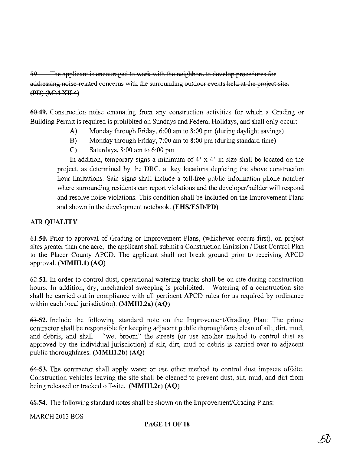59. The applicant is encouraged to work with the neighbors to develop procedures for addressing noise related concerns with the surrounding outdoor events held at the project site. (PD) (MM XII.4)

60.49. Construction noise emanating from any construction activities for which a Grading or Building Permit is required is prohibited on Sundays and Federal Holidays, and shall only occur:

- A) Monday through Friday, 6:00 am to 8:00 pm (during daylight savings)
- B) Monday through Friday, 7:00 am to 8:00 pm (during standard time)
- C) Saturdays, 8:00 am to 6:00 pm

In addition, temporary signs a minimum of  $4' \times 4'$  in size shall be located on the project, as determined by the DRC, at key locations depicting the above construction hour limitations. Said signs shall include a toll-free public information phone number where surrounding residents can report violations and the developer/builder will respond and resolve noise violations. This condition shall be included on the Improvement Plans and shown in the development notebook. (EHS/ESD/PD)

## AIR QUALITY

64.50. Prior to approval of Grading or Improvement Plans, (whichever occurs first), on project sites greater than one acre, the applicant shall submit a Construction Emission / Dust Control Plan to the Placer County APCD. The applicant shall not break ground prior to receiving APCD approval. (MMIII.l) (AQ)

 $62.51$ . In order to control dust, operational watering trucks shall be on site during construction hours. In addition, dry, mechanical sweeping is prohibited. Watering of a construction site shall be carried out in compliance with all pertinent APCD rules (or as required by ordinance within each local jurisdiction). (MMIII.2a) (AQ)

63.52. Include the following standard note on the Improvement/Grading Plan: The prime contractor shall be responsible for keeping adjacent public thoroughfares clean of silt, dirt, mud, and debris, and shall "wet broom" the streets (or use another method to control dust as approved by the individual jurisdiction) if silt, dirt, mud or debris is carried over to adjacent public thoroughfares. (MMIII.2b) (AQ)

64,53. The contractor shall apply water or use other method to control dust impacts offsite. Construction vehicles leaving the site shall be cleaned to prevent dust, silt, mud, and dirt from being released or tracked off-site. (MMIII.2c) (AQ)

~54. The following standard notes shall be shown on the Improvement/Grading Plans:

MARCH 2013 BOS

### PAGE **14 OF 18**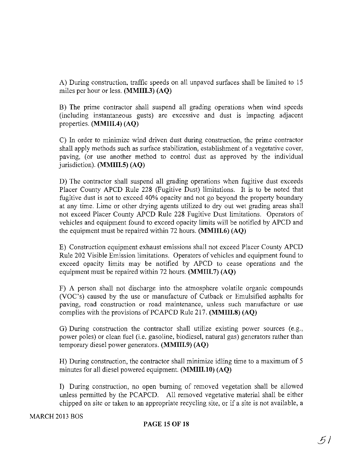A) During construction, traffic speeds on all unpaved surfaces shall be limited to 15 miles per hour or less. (MMIII.3) (AQ)

B) The prime contractor shall suspend all grading operations when wind speeds (including instantaneous gusts) are excessive and dust is impacting adjacent properties. (MMIII.4) (AQ)

C) In order to minimize wind driven dust during construction, the prime contractor shall apply methods such as surface stabilization, establishment of a vegetative cover, paving, (or use another method to control dust as approved by the individual jurisdiction). (MMIII.5) (AQ)

D) The contractor shall suspend all grading operations when fugitive dust exceeds Placer County APCD Rule 228 (Fugitive Dust) limitations. It is to be noted that fugitive dust is not to exceed 40% opacity and not go beyond the property boundary at any time. Lime or other drying agents utilized to dry out wet grading areas shall not exceed Placer County APCD Rule 228 Fugitive Dust limitations. Operators of vehicles and equipment found to exceed opacity limits will be notified by APCD and the equipment must be repaired within 72 hours.  $(MMIII.6) (AQ)$ 

E) Construction equipment exhaust emissions shall not exceed Placer County APCD Rule 202 Visible Emission limitations. Operators of vehicles and equipment found to exceed opacity limits may be notified by APCD to cease operations and the equipment must be repaired within 72 hours. (MMIII.7) (AQ)

F) A person shall not discharge into the atmosphere volatile organic compounds (VOC's) caused by the use or manufacture of Cutback or Emulsified asphalts for paving, road construction or road maintenance, unless such manufacture or use complies with the provisions of PCAPCD Rule 217. (MMIII.8) (AQ)

G) During construction the contractor shall utilize existing power sources (e.g., power poles) or clean fuel (i.e. gasoline, biodiesel, natural gas) generators rather than temporary diesel power generators. (MMIII.9) (AQ)

H) During construction, the contractor shall minimize idling time to a maximum of 5 minutes for all diesel powered equipment. (MMIII.I0) (AQ)

I) During construction, no open burning of removed vegetation shall be allowed unless permitted by the PCAPCD. All removed vegetative material shall be either chipped on site or taken to an appropriate recycling site, or if a site is not available, a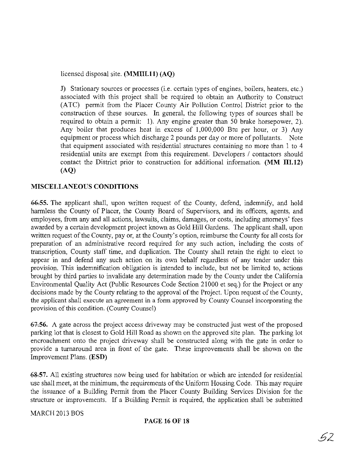licensed disposal site. (MMIII.ll) (AQ)

J) Stationary sources or processes (i.e. certain types of engines, boilers, heaters, etc.) associated with this project shall be required to obtain an Authority to Construct (ATC) permit from the Placer County Air Pollution Control District prior to the construction of these sources. In general, the following types of sources shall be required to obtain a permit: I). Any engine greater than 50 brake horsepower, 2). Any boiler that produces heat in excess of 1,000,000 Btu per hour, or 3) Any equipment or process which discharge 2 pounds per day or more of pollutants. Note that equipment associated with residential structures containing no more than 1 to 4 residential units are exempt from this requirement. Developers / contactors should contact the District prior to construction for additional information. (MM 111.12) (AQ)

### MISCELLANEOUS CONDITIONS

6&.55. The applicant shall, upon written request of the County, defend, indemnify, and hold harmless the County of Placer, the County Board of Supervisors, and its officers, agents, and employees, from any and all actions, lawsuits, claims, damages, or costs, including attorneys' fees awarded by a certain development project known as Gold Hill Gardens. The applicant shall, upon written request of the County, pay or, at the County's option, reimburse the County for all costs for preparation of an administrative record required for any such action, including the costs of transcription, County staff time, and duplication. The County shall retain the right to elect to appear in and defend any such action on its own behalf regardless of any tender under this provision. This indemnification obligation is intended to include, but not be limited to, actions brought by third parties to invalidate any determination made by the County under the California Environmental Quality Act (Public Resources Code Section 21000 et seq.) for the Project or any decisions made by the County relating to the approval of the Project. Upon request of the County, the applicant shall execute an agreement in a form approved by County Counsel incorporating the provision of this condition. (County Counsel)

67.56. A gate across the project access driveway may be constructed just west of the proposed parking lot that is closest to Gold Hill Road as shown on the approved site plan. The parking lot encroachment onto the project driveway shall be constructed along with the gate in order to provide a turnaround area in front of the gate. These improvements shall be shown on the Improvement Plans. (ESD)

6&57. All existing structures now being used for habitation or which are intended for residential use shall meet, at the minimum, the requirements of the Uniform Housing Code. This may require the issuance of a Building Permit from the Placer County Building Services Division for the structure or improvements. If a Building Permit is required, the application shall be submitted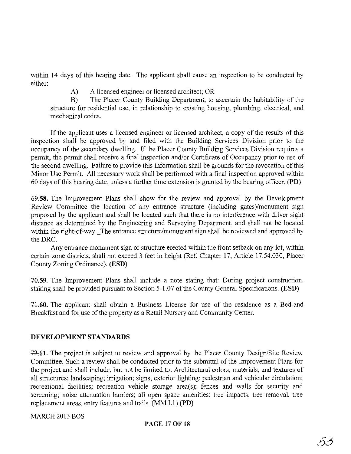within 14 days of this hearing date. The applicant shall cause an inspection to be conducted by either:

A) A licensed engineer or licensed architect; OR

B) The Placer County Building Department, to ascertain the habitability of the structure for residential use, in relationship to existing housing, plumbing, electrical, and mechanical codes.

If the applicant uses a licensed engineer or licensed architect, a copy of the results of this inspection shall be approved by and filed with the Building Services Division prior to the occupancy of the secondary dwelling. If the Placer County Building Services Division requires a permit, the permit shall receive a final inspection and/or Certificate of Occupancy prior to use of the second dwelling. Failure to provide this information shall be grounds for the revocation of this Minor Use Permit. All necessary work shall be performed with a final inspection approved within 60 days ofthis hearing date, unless a further time extension is granted by the hearing officer. (PD)

69.58. The Improvement Plans shall show for the review and approval by the Development Review Committee the location of any entrance structure (including gates)/monument sign proposed by the applicant and shall be located such that there is no interference with driver sight distance as determined by the Engineering and Surveying Department, and shall not be located within the right-of-way. The entrance structure/monument sign shall be reviewed and approved by the DRC.

Any entrance monument sign or structure erected within the front setback on any lot, within certain zone districts, shall not exceed 3 feet in height (Ref. Chapter 17, Article 17.54.030, Placer County Zoning Ordinance). (ESD)

+Q59. The Improvement Plans shall include a note stating that During project construction, staking shall be provided pursuant to Section 5-1.07 of the County General Specifications. (ESD)

-1+;60. The applicant shall obtain a Business License for use of the residence as a Bed-and Breakfast and for use of the property as a Retail Nursery and Community Center.

# DEVELOPMENT STANDARDS

72.61. The project is subject to review and approval by the Placer County Design/Site Review Committee. Such a review shall be conducted prior to the submittal of the Improvement Plans for the project and shall include, but not be limited to: Architectural colors, materials, and textures of all structures; landscaping; irrigation; signs; exterior lighting; pedestrian and vehicular circulation; recreational facilities; recreation vehicle storage area(s); fences and walls for security and screening; noise attenuation barriers; all open space amenities; tree impacts, tree removal, tree replacement areas, entry features and trails. (MM 1.1) (PD)